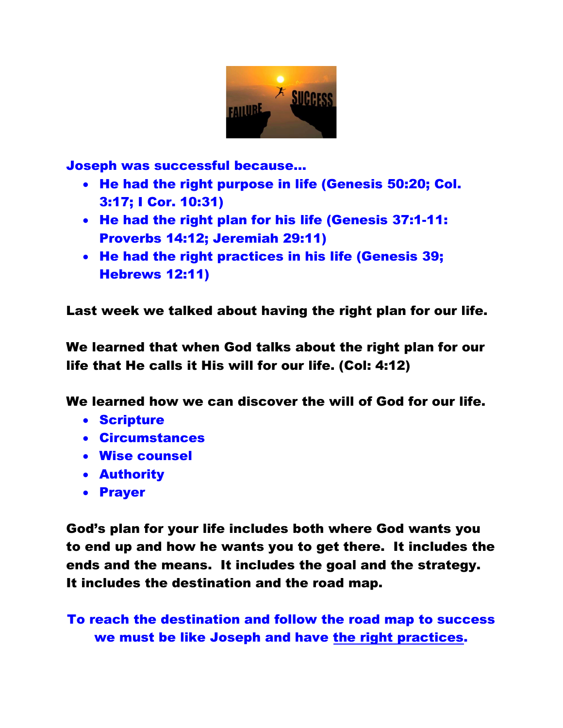

Joseph was successful because…

- He had the right purpose in life (Genesis 50:20; Col. 3:17; I Cor. 10:31)
- He had the right plan for his life (Genesis 37:1-11: Proverbs 14:12; Jeremiah 29:11)
- He had the right practices in his life (Genesis 39; Hebrews 12:11)

Last week we talked about having the right plan for our life.

We learned that when God talks about the right plan for our life that He calls it His will for our life. (Col: 4:12)

We learned how we can discover the will of God for our life.

- Scripture
- Circumstances
- Wise counsel
- Authority
- Prayer

God's plan for your life includes both where God wants you to end up and how he wants you to get there. It includes the ends and the means. It includes the goal and the strategy. It includes the destination and the road map.

To reach the destination and follow the road map to success we must be like Joseph and have the right practices.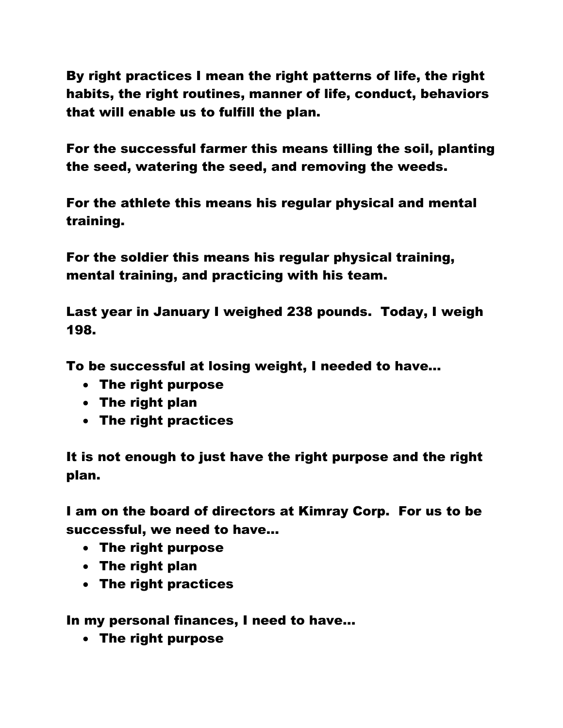By right practices I mean the right patterns of life, the right habits, the right routines, manner of life, conduct, behaviors that will enable us to fulfill the plan.

For the successful farmer this means tilling the soil, planting the seed, watering the seed, and removing the weeds.

For the athlete this means his regular physical and mental training.

For the soldier this means his regular physical training, mental training, and practicing with his team.

Last year in January I weighed 238 pounds. Today, I weigh 198.

To be successful at losing weight, I needed to have…

- The right purpose
- The right plan
- The right practices

It is not enough to just have the right purpose and the right plan.

I am on the board of directors at Kimray Corp. For us to be successful, we need to have…

- The right purpose
- The right plan
- The right practices

In my personal finances, I need to have…

The right purpose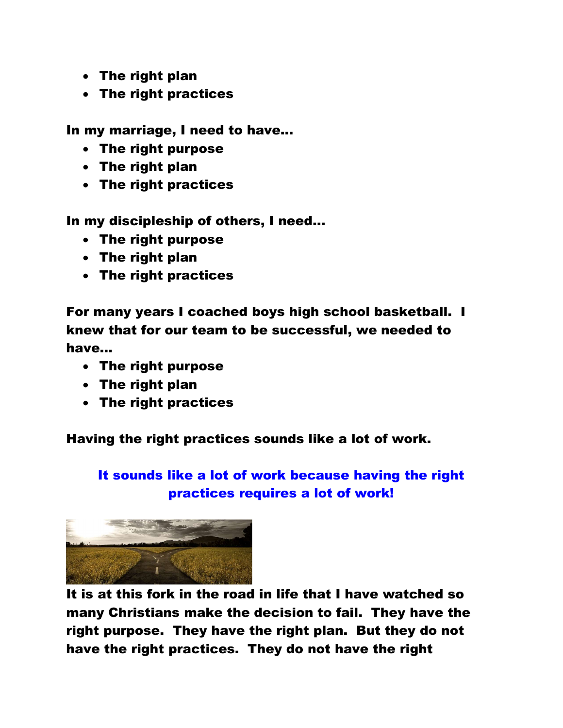- The right plan
- The right practices

In my marriage, I need to have…

- The right purpose
- The right plan
- The right practices

In my discipleship of others, I need…

- The right purpose
- The right plan
- The right practices

For many years I coached boys high school basketball. I knew that for our team to be successful, we needed to have…

- The right purpose
- The right plan
- The right practices

Having the right practices sounds like a lot of work.

## It sounds like a lot of work because having the right practices requires a lot of work!



It is at this fork in the road in life that I have watched so many Christians make the decision to fail. They have the right purpose. They have the right plan. But they do not have the right practices. They do not have the right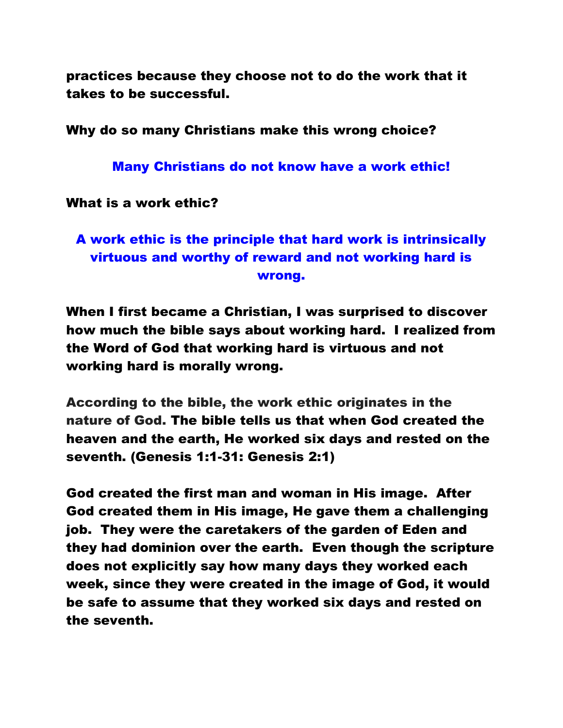practices because they choose not to do the work that it takes to be successful.

Why do so many Christians make this wrong choice?

Many Christians do not know have a work ethic!

What is a work ethic?

# A work ethic is the principle that hard work is intrinsically virtuous and worthy of reward and not working hard is wrong.

When I first became a Christian, I was surprised to discover how much the bible says about working hard. I realized from the Word of God that working hard is virtuous and not working hard is morally wrong.

According to the bible, the work ethic originates in the nature of God. The bible tells us that when God created the heaven and the earth, He worked six days and rested on the seventh. (Genesis 1:1-31: Genesis 2:1)

God created the first man and woman in His image. After God created them in His image, He gave them a challenging job. They were the caretakers of the garden of Eden and they had dominion over the earth. Even though the scripture does not explicitly say how many days they worked each week, since they were created in the image of God, it would be safe to assume that they worked six days and rested on the seventh.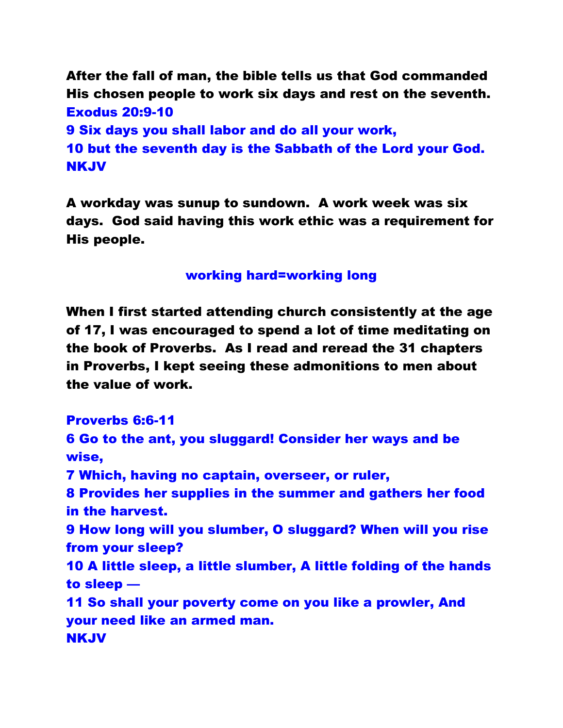After the fall of man, the bible tells us that God commanded His chosen people to work six days and rest on the seventh. Exodus 20:9-10 9 Six days you shall labor and do all your work,

10 but the seventh day is the Sabbath of the Lord your God. NKJV

A workday was sunup to sundown. A work week was six days. God said having this work ethic was a requirement for His people.

working hard=working long

When I first started attending church consistently at the age of 17, I was encouraged to spend a lot of time meditating on the book of Proverbs. As I read and reread the 31 chapters in Proverbs, I kept seeing these admonitions to men about the value of work.

Proverbs 6:6-11

6 Go to the ant, you sluggard! Consider her ways and be wise, 7 Which, having no captain, overseer, or ruler, 8 Provides her supplies in the summer and gathers her food in the harvest. 9 How long will you slumber, O sluggard? When will you rise from your sleep? 10 A little sleep, a little slumber, A little folding of the hands to sleep — 11 So shall your poverty come on you like a prowler, And your need like an armed man. NKJV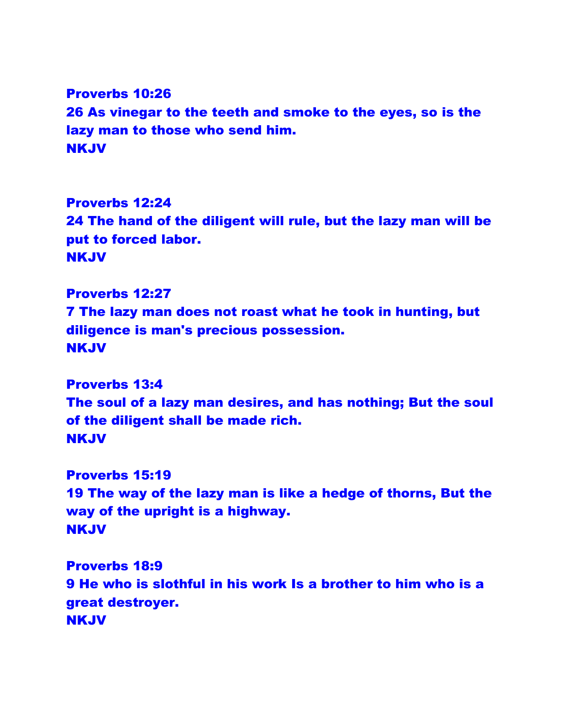Proverbs 10:26 26 As vinegar to the teeth and smoke to the eyes, so is the lazy man to those who send him. NKJV

Proverbs 12:24 24 The hand of the diligent will rule, but the lazy man will be put to forced labor. NKJV

Proverbs 12:27 7 The lazy man does not roast what he took in hunting, but diligence is man's precious possession. NKJV

Proverbs 13:4 The soul of a lazy man desires, and has nothing; But the soul of the diligent shall be made rich. NKJV

Proverbs 15:19 19 The way of the lazy man is like a hedge of thorns, But the way of the upright is a highway. NKJV

Proverbs 18:9 9 He who is slothful in his work Is a brother to him who is a great destroyer. NKJV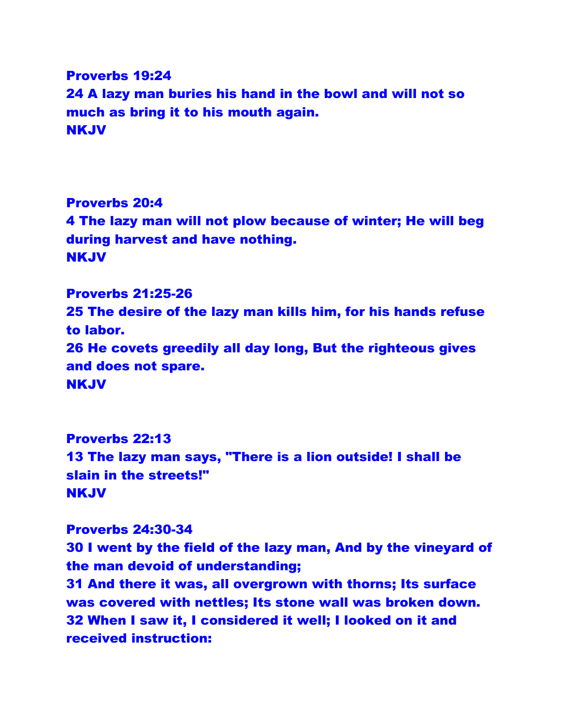### Proverbs 19:24 24 A lazy man buries his hand in the bowl and will not so much as bring it to his mouth again. NKJV

Proverbs 20:4 4 The lazy man will not plow because of winter; He will beg during harvest and have nothing. NKJV

Proverbs 21:25-26 25 The desire of the lazy man kills him, for his hands refuse to labor. 26 He covets greedily all day long, But the righteous gives and does not spare. NKJV

Proverbs 22:13 13 The lazy man says, "There is a lion outside! I shall be slain in the streets!" NKJV

## Proverbs 24:30-34 30 I went by the field of the lazy man, And by the vineyard of the man devoid of understanding; 31 And there it was, all overgrown with thorns; Its surface

was covered with nettles; Its stone wall was broken down. 32 When I saw it, I considered it well; I looked on it and received instruction: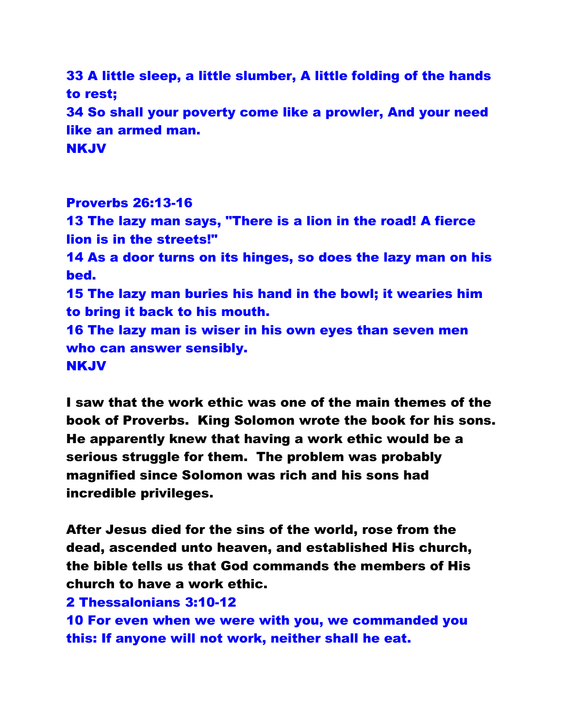33 A little sleep, a little slumber, A little folding of the hands to rest; 34 So shall your poverty come like a prowler, And your need like an armed man. NKJV

Proverbs 26:13-16 13 The lazy man says, "There is a lion in the road! A fierce lion is in the streets!" 14 As a door turns on its hinges, so does the lazy man on his bed. 15 The lazy man buries his hand in the bowl; it wearies him to bring it back to his mouth. 16 The lazy man is wiser in his own eyes than seven men who can answer sensibly. NKJV

I saw that the work ethic was one of the main themes of the book of Proverbs. King Solomon wrote the book for his sons. He apparently knew that having a work ethic would be a serious struggle for them. The problem was probably magnified since Solomon was rich and his sons had incredible privileges.

After Jesus died for the sins of the world, rose from the dead, ascended unto heaven, and established His church, the bible tells us that God commands the members of His church to have a work ethic.

#### 2 Thessalonians 3:10-12

10 For even when we were with you, we commanded you this: If anyone will not work, neither shall he eat.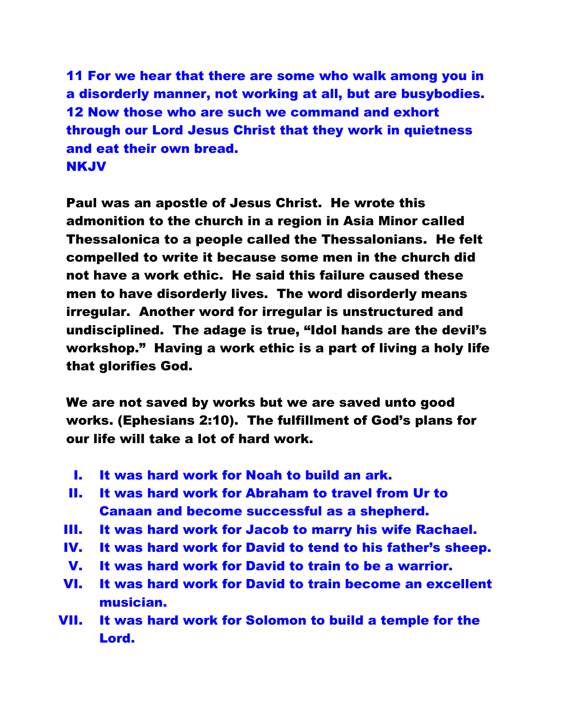11 For we hear that there are some who walk among you in a disorderly manner, not working at all, but are busybodies. 12 Now those who are such we command and exhort through our Lord Jesus Christ that they work in quietness and eat their own bread. NKJV

Paul was an apostle of Jesus Christ. He wrote this admonition to the church in a region in Asia Minor called Thessalonica to a people called the Thessalonians. He felt compelled to write it because some men in the church did not have a work ethic. He said this failure caused these men to have disorderly lives. The word disorderly means irregular. Another word for irregular is unstructured and undisciplined. The adage is true, "Idol hands are the devil's workshop." Having a work ethic is a part of living a holy life that glorifies God.

We are not saved by works but we are saved unto good works. (Ephesians 2:10). The fulfillment of God's plans for our life will take a lot of hard work.

- I. It was hard work for Noah to build an ark.
- II. It was hard work for Abraham to travel from Ur to Canaan and become successful as a shepherd.
- III. It was hard work for Jacob to marry his wife Rachael.
- IV. It was hard work for David to tend to his father's sheep.
- V. It was hard work for David to train to be a warrior.
- VI. It was hard work for David to train become an excellent musician.
- VII. It was hard work for Solomon to build a temple for the Lord.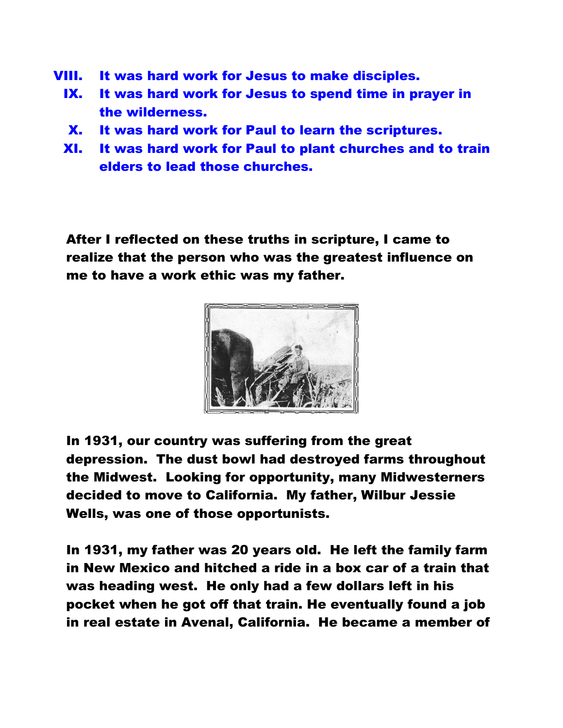- VIII. It was hard work for Jesus to make disciples.
	- IX. It was hard work for Jesus to spend time in prayer in the wilderness.
	- X. It was hard work for Paul to learn the scriptures.
	- XI. It was hard work for Paul to plant churches and to train elders to lead those churches.

After I reflected on these truths in scripture, I came to realize that the person who was the greatest influence on me to have a work ethic was my father.



In 1931, our country was suffering from the great depression. The dust bowl had destroyed farms throughout the Midwest. Looking for opportunity, many Midwesterners decided to move to California. My father, Wilbur Jessie Wells, was one of those opportunists.

In 1931, my father was 20 years old. He left the family farm in New Mexico and hitched a ride in a box car of a train that was heading west. He only had a few dollars left in his pocket when he got off that train. He eventually found a job in real estate in Avenal, California. He became a member of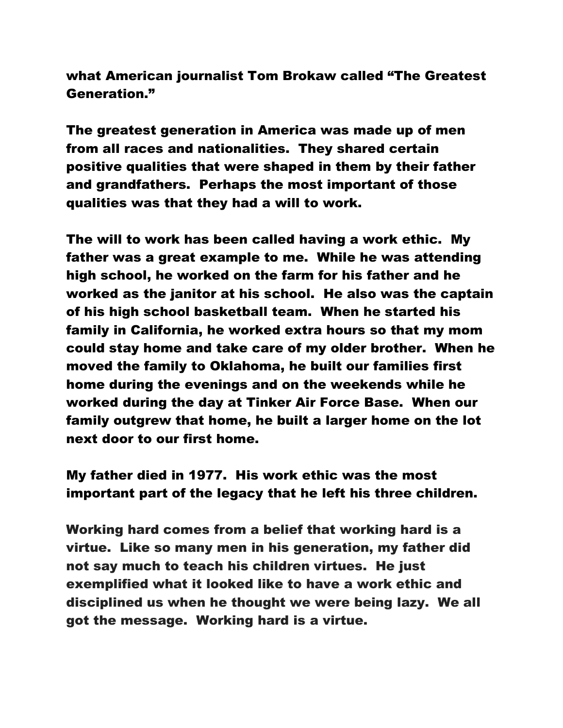what American journalist Tom Brokaw called "The Greatest Generation."

The greatest generation in America was made up of men from all races and nationalities. They shared certain positive qualities that were shaped in them by their father and grandfathers. Perhaps the most important of those qualities was that they had a will to work.

The will to work has been called having a work ethic. My father was a great example to me. While he was attending high school, he worked on the farm for his father and he worked as the janitor at his school. He also was the captain of his high school basketball team. When he started his family in California, he worked extra hours so that my mom could stay home and take care of my older brother. When he moved the family to Oklahoma, he built our families first home during the evenings and on the weekends while he worked during the day at Tinker Air Force Base. When our family outgrew that home, he built a larger home on the lot next door to our first home.

My father died in 1977. His work ethic was the most important part of the legacy that he left his three children.

Working hard comes from a belief that working hard is a virtue. Like so many men in his generation, my father did not say much to teach his children virtues. He just exemplified what it looked like to have a work ethic and disciplined us when he thought we were being lazy. We all got the message. Working hard is a virtue.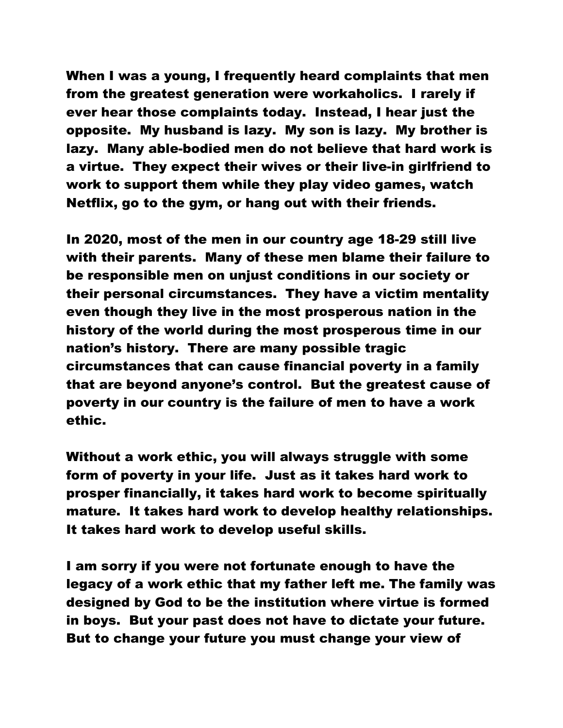When I was a young, I frequently heard complaints that men from the greatest generation were workaholics. I rarely if ever hear those complaints today. Instead, I hear just the opposite. My husband is lazy. My son is lazy. My brother is lazy. Many able-bodied men do not believe that hard work is a virtue. They expect their wives or their live-in girlfriend to work to support them while they play video games, watch Netflix, go to the gym, or hang out with their friends.

In 2020, most of the men in our country age 18-29 still live with their parents. Many of these men blame their failure to be responsible men on unjust conditions in our society or their personal circumstances. They have a victim mentality even though they live in the most prosperous nation in the history of the world during the most prosperous time in our nation's history. There are many possible tragic circumstances that can cause financial poverty in a family that are beyond anyone's control. But the greatest cause of poverty in our country is the failure of men to have a work ethic.

Without a work ethic, you will always struggle with some form of poverty in your life. Just as it takes hard work to prosper financially, it takes hard work to become spiritually mature. It takes hard work to develop healthy relationships. It takes hard work to develop useful skills.

I am sorry if you were not fortunate enough to have the legacy of a work ethic that my father left me. The family was designed by God to be the institution where virtue is formed in boys. But your past does not have to dictate your future. But to change your future you must change your view of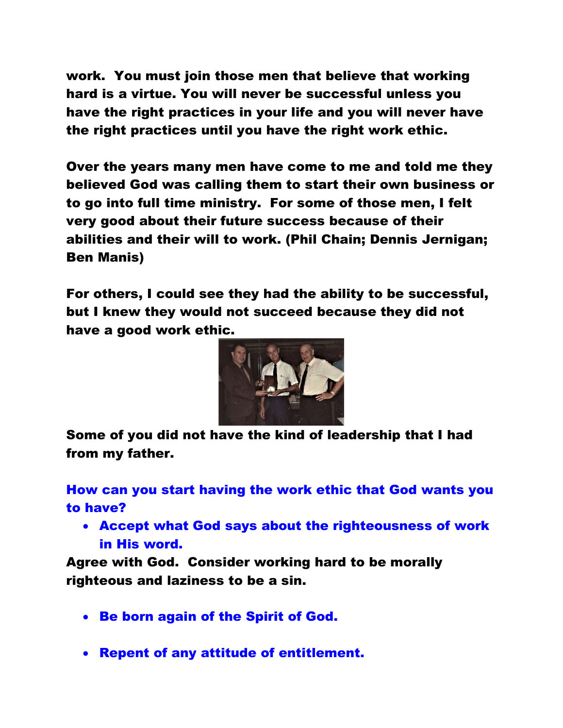work. You must join those men that believe that working hard is a virtue. You will never be successful unless you have the right practices in your life and you will never have the right practices until you have the right work ethic.

Over the years many men have come to me and told me they believed God was calling them to start their own business or to go into full time ministry. For some of those men, I felt very good about their future success because of their abilities and their will to work. (Phil Chain; Dennis Jernigan; Ben Manis)

For others, I could see they had the ability to be successful, but I knew they would not succeed because they did not have a good work ethic.



Some of you did not have the kind of leadership that I had from my father.

How can you start having the work ethic that God wants you to have?

 Accept what God says about the righteousness of work in His word.

Agree with God. Consider working hard to be morally righteous and laziness to be a sin.

- Be born again of the Spirit of God.
- Repent of any attitude of entitlement.